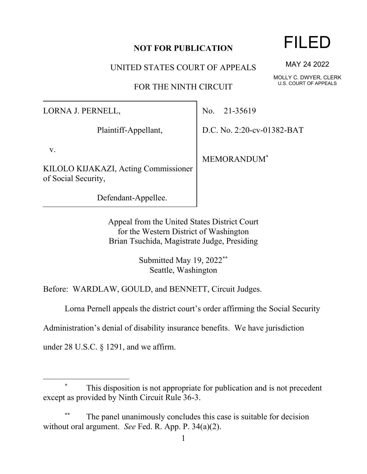### 1

## **NOT FOR PUBLICATION**

UNITED STATES COURT OF APPEALS

FOR THE NINTH CIRCUIT

LORNA J. PERNELL,

Plaintiff-Appellant,

v.

KILOLO KIJAKAZI, Acting Commissioner of Social Security,

Defendant-Appellee.

No. 21-35619

D.C. No. 2:20-cv-01382-BAT

MEMORANDUM\*

Appeal from the United States District Court for the Western District of Washington Brian Tsuchida, Magistrate Judge, Presiding

> Submitted May 19, 2022\*\* Seattle, Washington

Before: WARDLAW, GOULD, and BENNETT, Circuit Judges.

Lorna Pernell appeals the district court's order affirming the Social Security

Administration's denial of disability insurance benefits. We have jurisdiction

under 28 U.S.C. § 1291, and we affirm.

## This disposition is not appropriate for publication and is not precedent except as provided by Ninth Circuit Rule 36-3.

The panel unanimously concludes this case is suitable for decision without oral argument. *See* Fed. R. App. P. 34(a)(2).

# FILED

MAY 24 2022

MOLLY C. DWYER, CLERK U.S. COURT OF APPEALS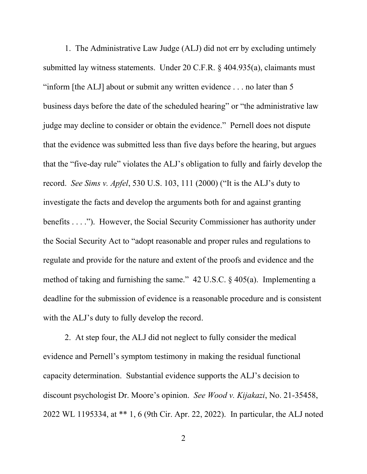1. The Administrative Law Judge (ALJ) did not err by excluding untimely submitted lay witness statements. Under 20 C.F.R. § 404.935(a), claimants must "inform [the ALJ] about or submit any written evidence . . . no later than 5 business days before the date of the scheduled hearing" or "the administrative law judge may decline to consider or obtain the evidence." Pernell does not dispute that the evidence was submitted less than five days before the hearing, but argues that the "five-day rule" violates the ALJ's obligation to fully and fairly develop the record. *See Sims v. Apfel*, 530 U.S. 103, 111 (2000) ("It is the ALJ's duty to investigate the facts and develop the arguments both for and against granting benefits . . . ."). However, the Social Security Commissioner has authority under the Social Security Act to "adopt reasonable and proper rules and regulations to regulate and provide for the nature and extent of the proofs and evidence and the method of taking and furnishing the same." 42 U.S.C. § 405(a). Implementing a deadline for the submission of evidence is a reasonable procedure and is consistent with the ALJ's duty to fully develop the record.

2. At step four, the ALJ did not neglect to fully consider the medical evidence and Pernell's symptom testimony in making the residual functional capacity determination. Substantial evidence supports the ALJ's decision to discount psychologist Dr. Moore's opinion. *See Wood v. Kijakazi*, No. 21-35458, 2022 WL 1195334, at \*\* 1, 6 (9th Cir. Apr. 22, 2022). In particular, the ALJ noted

2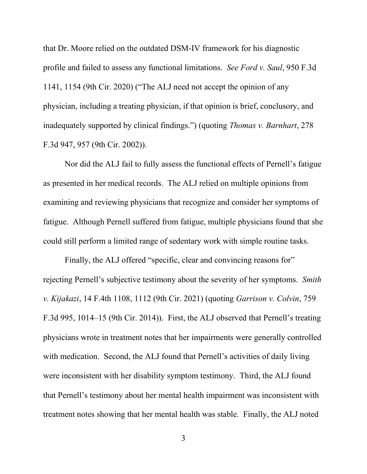that Dr. Moore relied on the outdated DSM-IV framework for his diagnostic profile and failed to assess any functional limitations. *See Ford v. Saul*, 950 F.3d 1141, 1154 (9th Cir. 2020) ("The ALJ need not accept the opinion of any physician, including a treating physician, if that opinion is brief, conclusory, and inadequately supported by clinical findings.") (quoting *Thomas v. Barnhart*, 278 F.3d 947, 957 (9th Cir. 2002)).

Nor did the ALJ fail to fully assess the functional effects of Pernell's fatigue as presented in her medical records. The ALJ relied on multiple opinions from examining and reviewing physicians that recognize and consider her symptoms of fatigue. Although Pernell suffered from fatigue, multiple physicians found that she could still perform a limited range of sedentary work with simple routine tasks.

Finally, the ALJ offered "specific, clear and convincing reasons for" rejecting Pernell's subjective testimony about the severity of her symptoms. *Smith v. Kijakazi*, 14 F.4th 1108, 1112 (9th Cir. 2021) (quoting *Garrison v. Colvin*, 759 F.3d 995, 1014–15 (9th Cir. 2014)). First, the ALJ observed that Pernell's treating physicians wrote in treatment notes that her impairments were generally controlled with medication. Second, the ALJ found that Pernell's activities of daily living were inconsistent with her disability symptom testimony. Third, the ALJ found that Pernell's testimony about her mental health impairment was inconsistent with treatment notes showing that her mental health was stable. Finally, the ALJ noted